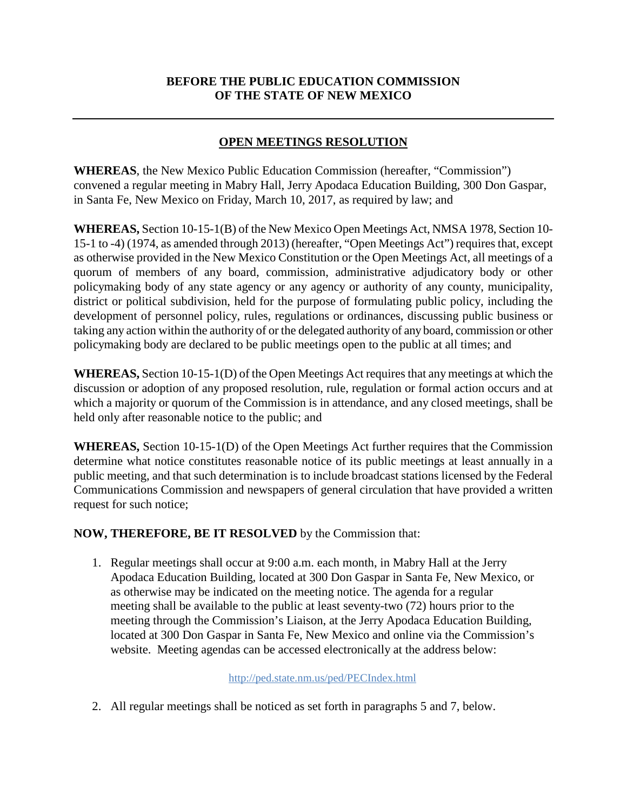# **BEFORE THE PUBLIC EDUCATION COMMISSION OF THE STATE OF NEW MEXICO**

## **OPEN MEETINGS RESOLUTION**

**WHEREAS**, the New Mexico Public Education Commission (hereafter, "Commission") convened a regular meeting in Mabry Hall, Jerry Apodaca Education Building, 300 Don Gaspar, in Santa Fe, New Mexico on Friday, March 10, 2017, as required by law; and

**WHEREAS,** Section 10-15-1(B) of the New Mexico Open Meetings Act, NMSA 1978, Section 10- 15-1 to -4) (1974, as amended through 2013) (hereafter, "Open Meetings Act") requiresthat, except as otherwise provided in the New Mexico Constitution or the Open Meetings Act, all meetings of a quorum of members of any board, commission, administrative adjudicatory body or other policymaking body of any state agency or any agency or authority of any county, municipality, district or political subdivision, held for the purpose of formulating public policy, including the development of personnel policy, rules, regulations or ordinances, discussing public business or taking any action within the authority of or the delegated authority of any board, commission or other policymaking body are declared to be public meetings open to the public at all times; and

**WHEREAS,** Section 10-15-1(D) of the Open Meetings Act requires that any meetings at which the discussion or adoption of any proposed resolution, rule, regulation or formal action occurs and at which a majority or quorum of the Commission is in attendance, and any closed meetings, shall be held only after reasonable notice to the public; and

**WHEREAS,** Section 10-15-1(D) of the Open Meetings Act further requires that the Commission determine what notice constitutes reasonable notice of its public meetings at least annually in a public meeting, and that such determination is to include broadcast stations licensed by the Federal Communications Commission and newspapers of general circulation that have provided a written request for such notice;

### **NOW, THEREFORE, BE IT RESOLVED** by the Commission that:

1. Regular meetings shall occur at 9:00 a.m. each month, in Mabry Hall at the Jerry Apodaca Education Building, located at 300 Don Gaspar in Santa Fe, New Mexico, or as otherwise may be indicated on the meeting notice. The agenda for a regular meeting shall be available to the public at least seventy-two (72) hours prior to the meeting through the Commission's Liaison, at the Jerry Apodaca Education Building, located at 300 Don Gaspar in Santa Fe, New Mexico and online via the Commission's website. Meeting agendas can be accessed electronically at the address below:

#### http://ped.state.nm.us/ped/PECIndex.html

2. All regular meetings shall be noticed as set forth in paragraphs 5 and 7, below.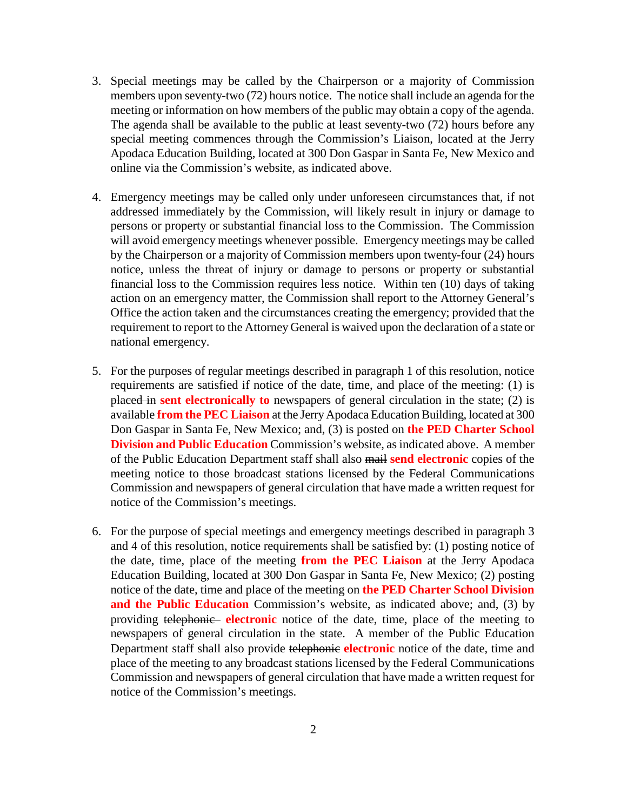- 3. Special meetings may be called by the Chairperson or a majority of Commission members upon seventy-two (72) hours notice. The notice shall include an agenda for the meeting or information on how members of the public may obtain a copy of the agenda. The agenda shall be available to the public at least seventy-two (72) hours before any special meeting commences through the Commission's Liaison, located at the Jerry Apodaca Education Building, located at 300 Don Gaspar in Santa Fe, New Mexico and online via the Commission's website, as indicated above.
- 4. Emergency meetings may be called only under unforeseen circumstances that, if not addressed immediately by the Commission, will likely result in injury or damage to persons or property or substantial financial loss to the Commission. The Commission will avoid emergency meetings whenever possible. Emergency meetings may be called by the Chairperson or a majority of Commission members upon twenty-four (24) hours notice, unless the threat of injury or damage to persons or property or substantial financial loss to the Commission requires less notice. Within ten (10) days of taking action on an emergency matter, the Commission shall report to the Attorney General's Office the action taken and the circumstances creating the emergency; provided that the requirement to report to the Attorney General is waived upon the declaration of a state or national emergency.
- 5. For the purposes of regular meetings described in paragraph 1 of this resolution, notice requirements are satisfied if notice of the date, time, and place of the meeting: (1) is placed in **sent electronically to** newspapers of general circulation in the state; (2) is available **from the PEC Liaison** at the Jerry Apodaca Education Building, located at 300 Don Gaspar in Santa Fe, New Mexico; and, (3) is posted on **the PED Charter School Division and Public Education** Commission's website, as indicated above. A member of the Public Education Department staff shall also mail **send electronic** copies of the meeting notice to those broadcast stations licensed by the Federal Communications Commission and newspapers of general circulation that have made a written request for notice of the Commission's meetings.
- 6. For the purpose of special meetings and emergency meetings described in paragraph 3 and 4 of this resolution, notice requirements shall be satisfied by: (1) posting notice of the date, time, place of the meeting **from the PEC Liaison** at the Jerry Apodaca Education Building, located at 300 Don Gaspar in Santa Fe, New Mexico; (2) posting notice of the date, time and place of the meeting on **the PED Charter School Division and the Public Education** Commission's website, as indicated above; and, (3) by providing telephonic **electronic** notice of the date, time, place of the meeting to newspapers of general circulation in the state. A member of the Public Education Department staff shall also provide telephonic **electronic** notice of the date, time and place of the meeting to any broadcast stations licensed by the Federal Communications Commission and newspapers of general circulation that have made a written request for notice of the Commission's meetings.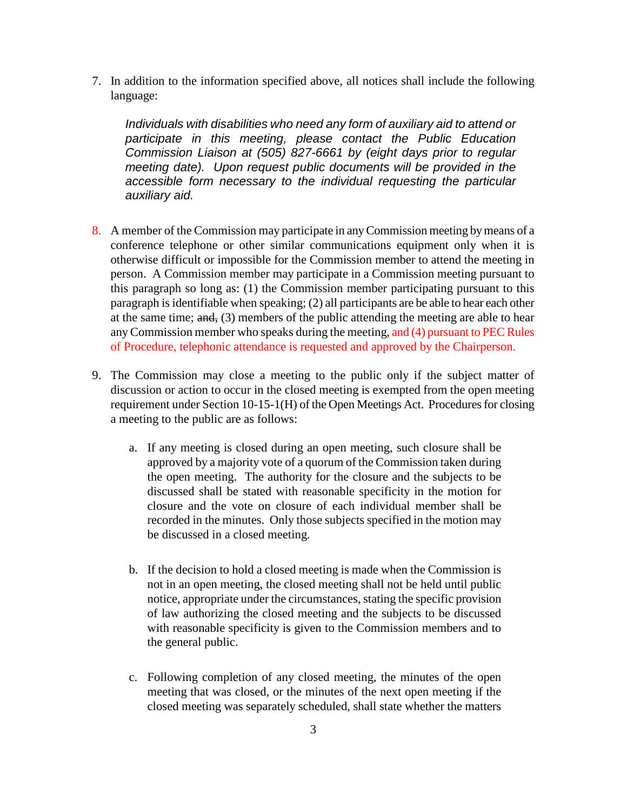7. In addition to the information specified above, all notices shall include the following language:

*Individuals with disabilities who need any form of auxiliary aid to attend or participate in this meeting, please contact the Public Education Commission Liaison at (505) 827-6661 by (eight days prior to regular meeting date). Upon request public documents will be provided in the accessible form necessary to the individual requesting the particular auxiliary aid.*

- 8. A member of the Commission may participate in any Commission meeting by means of a conference telephone or other similar communications equipment only when it is otherwise difficult or impossible for the Commission member to attend the meeting in person. A Commission member may participate in a Commission meeting pursuant to this paragraph so long as: (1) the Commission member participating pursuant to this paragraph is identifiable when speaking; (2) all participants are be able to hear each other at the same time; and, (3) members of the public attending the meeting are able to hear any Commission member who speaks during the meeting, and (4) pursuant to PEC Rules of Procedure, telephonic attendance is requested and approved by the Chairperson.
- 9. The Commission may close a meeting to the public only if the subject matter of discussion or action to occur in the closed meeting is exempted from the open meeting requirement under Section 10-15-1(H) of the Open Meetings Act. Procedures for closing a meeting to the public are as follows:
	- a. If any meeting is closed during an open meeting, such closure shall be approved by a majority vote of a quorum of the Commission taken during the open meeting. The authority for the closure and the subjects to be discussed shall be stated with reasonable specificity in the motion for closure and the vote on closure of each individual member shall be recorded in the minutes. Only those subjects specified in the motion may be discussed in a closed meeting.
	- b. If the decision to hold a closed meeting is made when the Commission is not in an open meeting, the closed meeting shall not be held until public notice, appropriate under the circumstances, stating the specific provision of law authorizing the closed meeting and the subjects to be discussed with reasonable specificity is given to the Commission members and to the general public.
	- c. Following completion of any closed meeting, the minutes of the open meeting that was closed, or the minutes of the next open meeting if the closed meeting was separately scheduled, shall state whether the matters